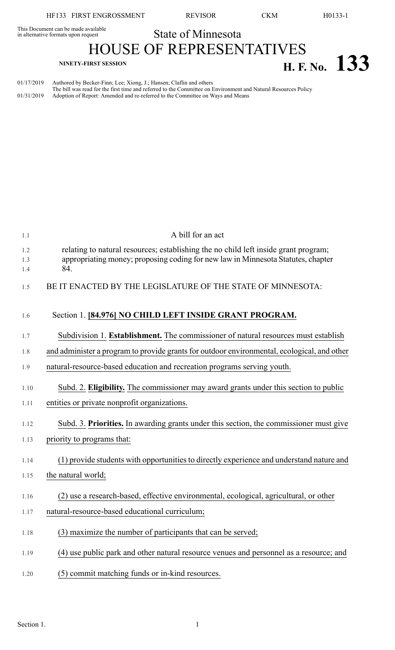This Document can be made available<br>in alternative formats upon request

State of Minnesota

HOUSE OF REPRESENTATIVES **NINETY-FIRST SESSION H. F. No. 133**

01/17/2019 Authored by Becker-Finn; Lee; Xiong, J.; Hansen; Claflin and others The bill was read for the first time and referred to the Committee on Environment and Natural Resources Policy 01/31/2019 Adoption of Report: Amended and re-referred to the Committee on Ways and Means

| 1.1        | A bill for an act                                                                                                                                                       |
|------------|-------------------------------------------------------------------------------------------------------------------------------------------------------------------------|
| 1.2<br>1.3 | relating to natural resources; establishing the no child left inside grant program;<br>appropriating money; proposing coding for new law in Minnesota Statutes, chapter |
| 1.4        | 84.                                                                                                                                                                     |
| 1.5        | BE IT ENACTED BY THE LEGISLATURE OF THE STATE OF MINNESOTA:                                                                                                             |
| 1.6        | Section 1. [84.976] NO CHILD LEFT INSIDE GRANT PROGRAM.                                                                                                                 |
| 1.7        | Subdivision 1. Establishment. The commissioner of natural resources must establish                                                                                      |
| 1.8        | and administer a program to provide grants for outdoor environmental, ecological, and other                                                                             |
| 1.9        | natural-resource-based education and recreation programs serving youth.                                                                                                 |
| 1.10       | Subd. 2. Eligibility. The commissioner may award grants under this section to public                                                                                    |
| 1.11       | entities or private nonprofit organizations.                                                                                                                            |
| 1.12       | Subd. 3. Priorities. In awarding grants under this section, the commissioner must give                                                                                  |
| 1.13       | priority to programs that:                                                                                                                                              |
| 1.14       | (1) provide students with opportunities to directly experience and understand nature and                                                                                |
| 1.15       | the natural world;                                                                                                                                                      |
| 1.16       | (2) use a research-based, effective environmental, ecological, agricultural, or other                                                                                   |
| 1.17       | natural-resource-based educational curriculum;                                                                                                                          |
| 1.18       | (3) maximize the number of participants that can be served;                                                                                                             |
| 1.19       | (4) use public park and other natural resource venues and personnel as a resource; and                                                                                  |
| 1.20       | (5) commit matching funds or in-kind resources.                                                                                                                         |